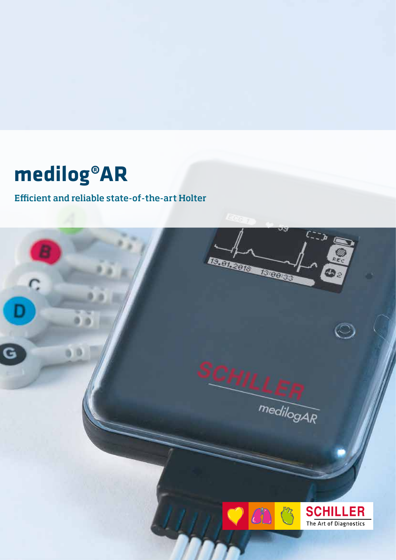## **medilog®AR**

## **Efficient and reliable state-of-the-art Holter**

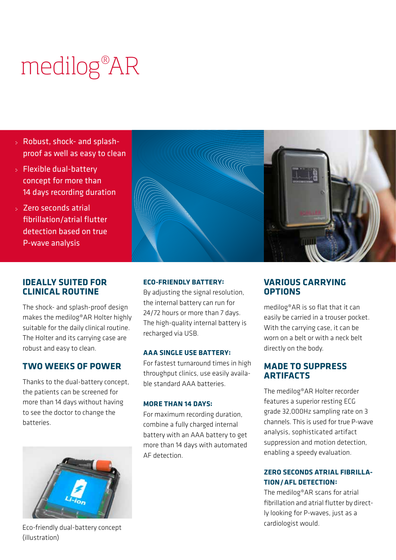# medilog® AR

- Robust, shock- and splashproof as well as easy to clean
- Flexible dual-battery concept for more than 14 days recording duration
- Zero seconds atrial fibrillation/atrial flutter detection based on true P-wave analysis

#### **IDEALLY SUITED FOR CLINICAL ROUTINE**

The shock- and splash-proof design makes the medilog®AR Holter highly suitable for the daily clinical routine. The Holter and its carrying case are robust and easy to clean.

### **TWO WEEKS OF POWER**

Thanks to the dual-battery concept, the patients can be screened for more than 14 days without having to see the doctor to change the batteries.



Eco-friendly dual-battery concept (illustration)

#### **ECO-FRIENDLY BATTERY:**

By adjusting the signal resolution, the internal battery can run for 24/72 hours or more than 7 days. The high-quality internal battery is recharged via USB.

**SANGGRAPH** 

#### **AAA SINGLE USE BATTERY:**

For fastest turnaround times in high throughput clinics, use easily available standard AAA batteries.

#### **MORE THAN 14 DAYS:**

For maximum recording duration, combine a fully charged internal battery with an AAA battery to get more than 14 days with automated AF detection.

#### **VARIOUS CARRYING OPTIONS**

medilog®AR is so flat that it can easily be carried in a trouser pocket. With the carrying case, it can be worn on a belt or with a neck belt directly on the body.

#### **MADE TO SUPPRESS ARTIFACTS**

The medilog®AR Holter recorder features a superior resting ECG grade 32,000Hz sampling rate on 3 channels. This is used for true P-wave analysis, sophisticated artifact suppression and motion detection, enabling a speedy evaluation.

#### **ZERO SECONDS ATRIAL FIBRILLA-TION/AFL DETECTION:**

The medilog®AR scans for atrial fibrillation and atrial flutter by directly looking for P-waves, just as a cardiologist would.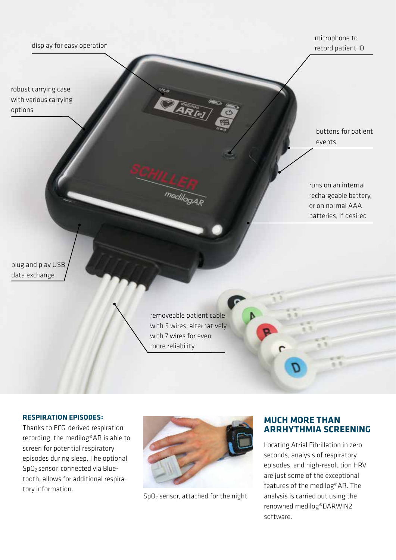#### display for easy operation

robust carrying case with various carrying options

microphone to record patient ID

buttons for patient events

runs on an internal rechargeable battery, or on normal AAA batteries, if desired

plug and play USB data exchange

> removeable patient cable with 5 wires, alternatively with 7 wires for even more reliability

medilogAR

#### **RESPIRATION EPISODES:**

Thanks to ECG-derived respiration recording, the medilog®AR is able to screen for potential respiratory episodes during sleep. The optional SpO2 sensor, connected via Bluetooth, allows for additional respiratory information.



SpO2 sensor, attached for the night

#### **MUCH MORE THAN ARRHYTHMIA SCREENING**

Locating Atrial Fibrillation in zero seconds, analysis of respiratory episodes, and high-resolution HRV are just some of the exceptional features of the medilog®AR. The analysis is carried out using the renowned medilog®DARWIN2 software.